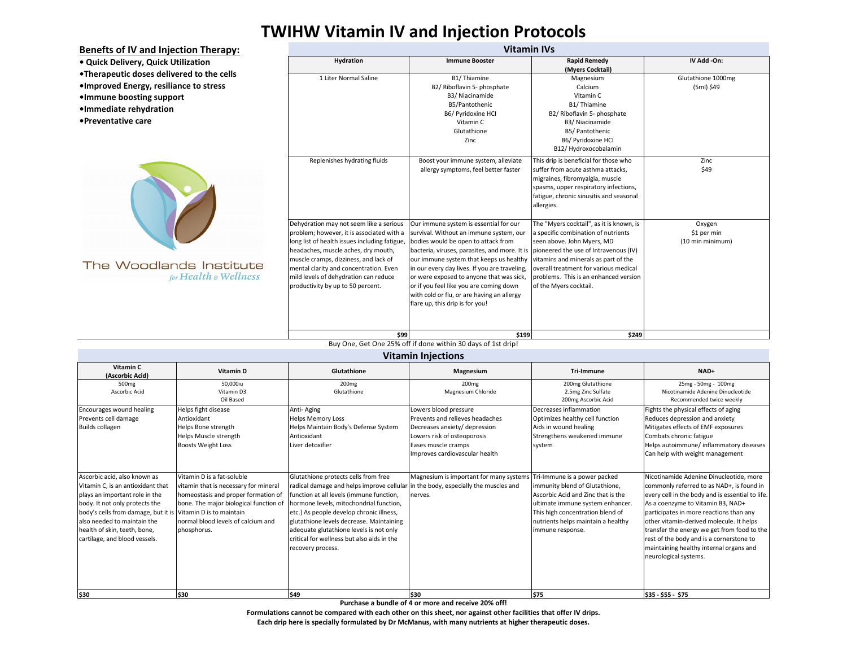## **TWIHW Vitamin IV and Injection Protocols**

**Benefts of IV and Injection Therapy: Vitamin IVs • Quick Delivery, Quick Utilization Hydration Immune Booster Rapid Remedy IV Add -On: (Myers Cocktail) •Therapeutic doses delivered to the cells** 1 Liter Normal Saline B1/ Thiamine Magnesium Glutathione 1000mg **•Improved Energy, resiliance to stress** B2/ Riboflavin 5- phosphate Calcium (5ml) \$49 B3/ Niacinamide Vitamin C **•Immune boosting support** B5/Pantothenic B1/ Thiamine **•Immediate rehydration** B6/ Pyridoxine HCI B2/ Riboflavin 5- phosphate **•Preventative care**Vitamin C B3/ Niacinamide Glutathione B5/ Pantothenic Zinc B6/ Pyridoxine HCI B12/ Hydroxocobalamin This drip is beneficial for those who Zinc Replenishes hydrating fluids Boost your immune system, alleviate suffer from acute asthma attacks, \$49 allergy symptoms, feel better faster migraines, fibromyalgia, muscle spasms, upper respiratory infections, fatigue, chronic sinusitis and seasonal allergies. Dehydration may not seem like a serious Our immune system is essential for our The "Myers cocktail", as it is known, is Oxygen problem; however, it is associated with a survival. Without an immune system, our a specific combination of nutrients \$1 per min long list of health issues including fatigue, bodies would be open to attack from seen above. John Myers, MD (10 min minimum) headaches, muscle aches, dry mouth, bacteria, viruses, parasites, and more. It is pioneered the use of Intravenous (IV) muscle cramps, dizziness, and lack of our immune system that keeps us healthy vitamins and minerals as part of the The Woodlands Institute mental clarity and concentration. Even in our every day lives. If you are traveling, overall treatment for various medical for Health & Wellness mild levels of dehydration can reduce or were exposed to anyone that was sick, problems. This is an enhanced version productivity by up to 50 percent. or if you feel like you are coming down of the Myers cocktail. with cold or flu, or are having an allergy flare up, this drip is for you! **\$99 \$199 \$249**

Buy One, Get One 25% off if done within 30 days of 1st drip!

| <b>Vitamin Injections</b>                                                                                                                                                                                                                                                                             |                                                                                                                                                                                                           |                                                                                                                                                                                                                                                                                                                                                                                                                        |                                                                                                                                                                                   |                                                                                                                                                                                                                                       |                                                                                                                                                                                                                                                                                                                                                                                                                                     |  |  |  |  |
|-------------------------------------------------------------------------------------------------------------------------------------------------------------------------------------------------------------------------------------------------------------------------------------------------------|-----------------------------------------------------------------------------------------------------------------------------------------------------------------------------------------------------------|------------------------------------------------------------------------------------------------------------------------------------------------------------------------------------------------------------------------------------------------------------------------------------------------------------------------------------------------------------------------------------------------------------------------|-----------------------------------------------------------------------------------------------------------------------------------------------------------------------------------|---------------------------------------------------------------------------------------------------------------------------------------------------------------------------------------------------------------------------------------|-------------------------------------------------------------------------------------------------------------------------------------------------------------------------------------------------------------------------------------------------------------------------------------------------------------------------------------------------------------------------------------------------------------------------------------|--|--|--|--|
| Vitamin C<br>(Ascorbic Acid)                                                                                                                                                                                                                                                                          | Vitamin D                                                                                                                                                                                                 | Glutathione                                                                                                                                                                                                                                                                                                                                                                                                            | <b>Magnesium</b>                                                                                                                                                                  | Tri-Immune                                                                                                                                                                                                                            | NAD+                                                                                                                                                                                                                                                                                                                                                                                                                                |  |  |  |  |
| 500 <sub>mg</sub><br>Ascorbic Acid                                                                                                                                                                                                                                                                    | 50,000iu<br>Vitamin D3<br>Oil Based                                                                                                                                                                       | 200 <sub>mg</sub><br>Glutathione                                                                                                                                                                                                                                                                                                                                                                                       | 200 <sub>mg</sub><br>Magnesium Chloride                                                                                                                                           | 200mg Glutathione<br>2.5mg Zinc Sulfate<br>200mg Ascorbic Acid                                                                                                                                                                        | 25mg - 50mg - 100mg<br>Nicotinamide Adenine Dinucleotide<br>Recommended twice weekly                                                                                                                                                                                                                                                                                                                                                |  |  |  |  |
| Encourages wound healing<br>Prevents cell damage<br><b>Builds collagen</b>                                                                                                                                                                                                                            | Helps fight disease<br>Antioxidant<br>Helps Bone strength<br>Helps Muscle strength<br><b>Boosts Weight Loss</b>                                                                                           | Anti-Aging<br><b>Helps Memory Loss</b><br>Helps Maintain Body's Defense System<br>Antioxidant<br>Liver detoxifier                                                                                                                                                                                                                                                                                                      | Lowers blood pressure<br>Prevents and relieves headaches<br>Decreases anxiety/ depression<br>Lowers risk of osteoporosis<br>Eases muscle cramps<br>Improves cardiovascular health | Decreases inflammation<br>Optimizes healthy cell function<br>Aids in wound healing<br>Strengthens weakened immune<br>system                                                                                                           | Fights the physical effects of aging<br>Reduces depression and anxiety<br>Mitigates effects of EMF exposures<br>Combats chronic fatigue<br>Helps autoimmune/ inflammatory diseases<br>Can help with weight management                                                                                                                                                                                                               |  |  |  |  |
| Ascorbic acid, also known as<br>Vitamin C, is an antioxidant that<br>plays an important role in the<br>body. It not only protects the<br>body's cells from damage, but it is Vitamin D is to maintain<br>also needed to maintain the<br>health of skin, teeth, bone,<br>cartilage, and blood vessels. | Vitamin D is a fat-soluble<br>vitamin that is necessary for mineral<br>homeostasis and proper formation of<br>bone. The major biological function of<br>normal blood levels of calcium and<br>phosphorus. | Glutathione protects cells from free<br>radical damage and helps improve cellular in the body, especially the muscles and<br>function at all levels (immune function,<br>hormone levels, mitochondrial function,<br>etc.) As people develop chronic illness,<br>glutathione levels decrease. Maintaining<br>adequate glutathione levels is not only<br>critical for wellness but also aids in the<br>recovery process. | Magnesium is important for many systems<br>nerves.                                                                                                                                | Tri-Immune is a power packed<br>immunity blend of Glutathione,<br>Ascorbic Acid and Zinc that is the<br>ultimate immune system enhancer<br>This high concentration blend of<br>nutrients helps maintain a healthy<br>immune response. | Nicotinamide Adenine Dinucleotide, more<br>commonly referred to as NAD+, is found in<br>every cell in the body and is essential to life.<br>As a coenzyme to Vitamin B3, NAD+<br>participates in more reactions than any<br>other vitamin-derived molecule. It helps<br>transfer the energy we get from food to the<br>rest of the body and is a cornerstone to<br>maintaining healthy internal organs and<br>neurological systems. |  |  |  |  |
| \$30                                                                                                                                                                                                                                                                                                  | \$30                                                                                                                                                                                                      | <b>S49</b>                                                                                                                                                                                                                                                                                                                                                                                                             | <b>S30</b>                                                                                                                                                                        | \$75                                                                                                                                                                                                                                  | \$35 - \$55 - \$75                                                                                                                                                                                                                                                                                                                                                                                                                  |  |  |  |  |

**Purchase a bundle of 4 or more and receive 20% off!** 

**Formulations cannot be compared with each other on this sheet, nor against other facilities that offer IV drips. Each drip here is specially formulated by Dr McManus, with many nutrients at higher therapeutic doses.**